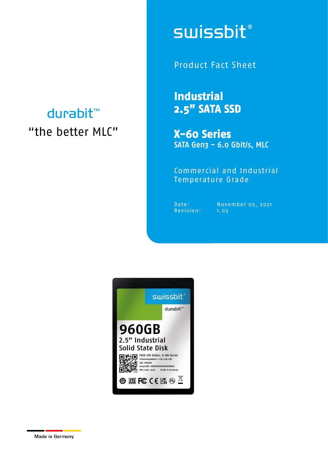## durabit™ "the better MLC"

# **swissbit®**

Product Fact Sheet

**Industrial 2.5" SATA SSD** 

**X-60 Series**  SATA Gen3 - 6.0 Gbit/s, MLC

Commercial and Industrial Temperature Grade

Date: Nove<br>Revision: 1.03

Date: November 05, 2021